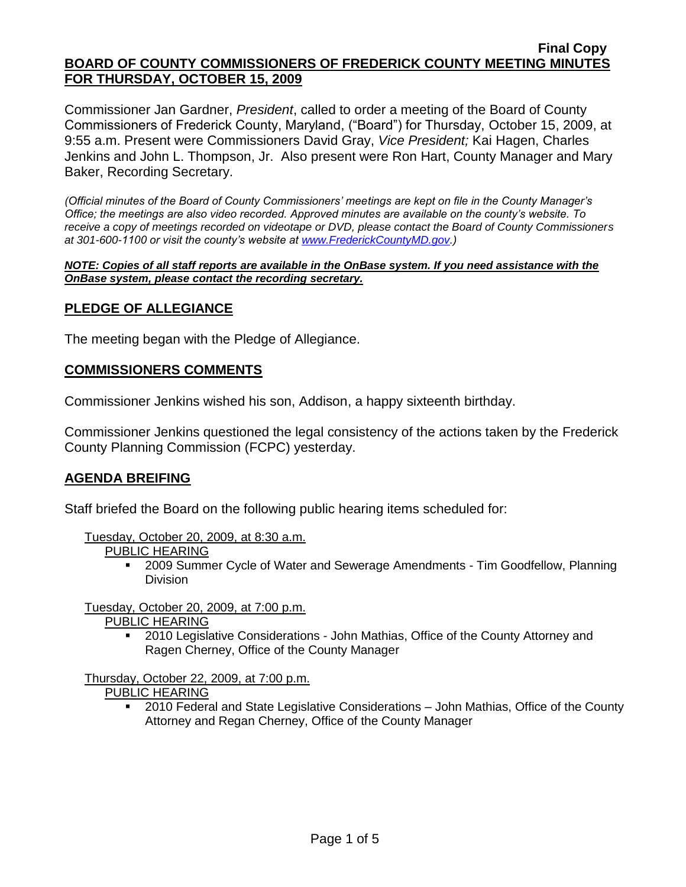#### **Final Copy BOARD OF COUNTY COMMISSIONERS OF FREDERICK COUNTY MEETING MINUTES FOR THURSDAY, OCTOBER 15, 2009**

Commissioner Jan Gardner, *President*, called to order a meeting of the Board of County Commissioners of Frederick County, Maryland, ("Board") for Thursday, October 15, 2009, at 9:55 a.m. Present were Commissioners David Gray, *Vice President;* Kai Hagen, Charles Jenkins and John L. Thompson, Jr. Also present were Ron Hart, County Manager and Mary Baker, Recording Secretary.

*(Official minutes of the Board of County Commissioners' meetings are kept on file in the County Manager's Office; the meetings are also video recorded. Approved minutes are available on the county's website. To receive a copy of meetings recorded on videotape or DVD, please contact the Board of County Commissioners at 301-600-1100 or visit the county's website at [www.FrederickCountyMD.gov.](http://www.frederickcountymd.gov/))*

*NOTE: Copies of all staff reports are available in the OnBase system. If you need assistance with the OnBase system, please contact the recording secretary.*

#### **PLEDGE OF ALLEGIANCE**

The meeting began with the Pledge of Allegiance.

#### **COMMISSIONERS COMMENTS**

Commissioner Jenkins wished his son, Addison, a happy sixteenth birthday.

Commissioner Jenkins questioned the legal consistency of the actions taken by the Frederick County Planning Commission (FCPC) yesterday.

#### **AGENDA BREIFING**

Staff briefed the Board on the following public hearing items scheduled for:

- Tuesday, October 20, 2009, at 8:30 a.m.
	- PUBLIC HEARING
		- 2009 Summer Cycle of Water and Sewerage Amendments Tim Goodfellow, Planning Division

Tuesday, October 20, 2009, at 7:00 p.m.

- PUBLIC HEARING
	- 2010 Legislative Considerations John Mathias, Office of the County Attorney and Ragen Cherney, Office of the County Manager

Thursday, October 22, 2009, at 7:00 p.m.

PUBLIC HEARING

 2010 Federal and State Legislative Considerations – John Mathias, Office of the County Attorney and Regan Cherney, Office of the County Manager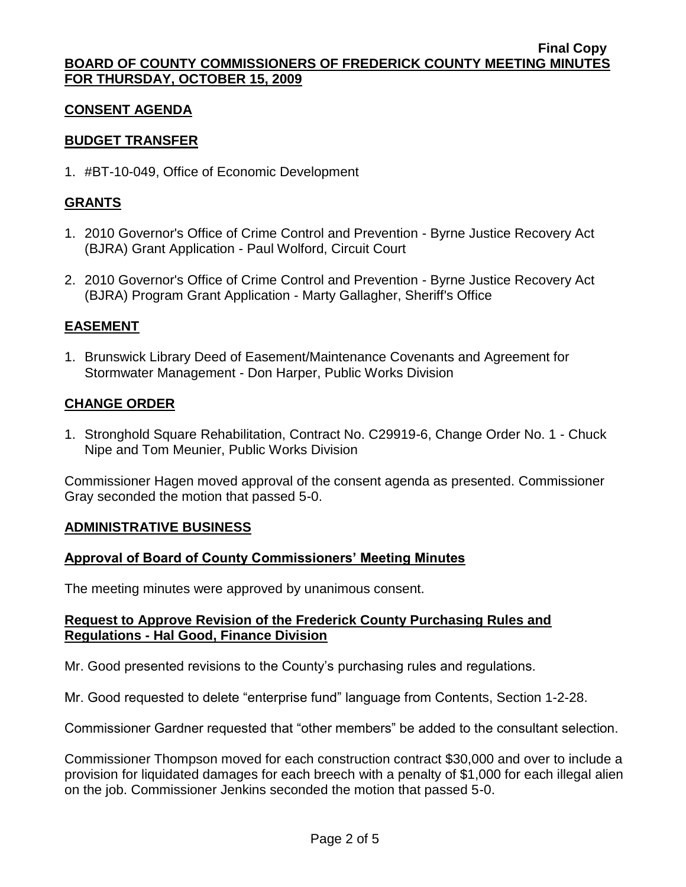## **CONSENT AGENDA**

# **BUDGET TRANSFER**

1. #BT-10-049, Office of Economic Development

# **GRANTS**

- 1. 2010 Governor's Office of Crime Control and Prevention Byrne Justice Recovery Act (BJRA) Grant Application - Paul Wolford, Circuit Court
- 2. 2010 Governor's Office of Crime Control and Prevention Byrne Justice Recovery Act (BJRA) Program Grant Application - Marty Gallagher, Sheriff's Office

# **EASEMENT**

1. Brunswick Library Deed of Easement/Maintenance Covenants and Agreement for Stormwater Management - Don Harper, Public Works Division

## **CHANGE ORDER**

1. Stronghold Square Rehabilitation, Contract No. C29919-6, Change Order No. 1 - Chuck Nipe and Tom Meunier, Public Works Division

Commissioner Hagen moved approval of the consent agenda as presented. Commissioner Gray seconded the motion that passed 5-0.

## **ADMINISTRATIVE BUSINESS**

## **Approval of Board of County Commissioners' Meeting Minutes**

The meeting minutes were approved by unanimous consent.

#### **Request to Approve Revision of the Frederick County Purchasing Rules and Regulations - Hal Good, Finance Division**

Mr. Good presented revisions to the County's purchasing rules and regulations.

Mr. Good requested to delete "enterprise fund" language from Contents, Section 1-2-28.

Commissioner Gardner requested that "other members" be added to the consultant selection.

Commissioner Thompson moved for each construction contract \$30,000 and over to include a provision for liquidated damages for each breech with a penalty of \$1,000 for each illegal alien on the job. Commissioner Jenkins seconded the motion that passed 5-0.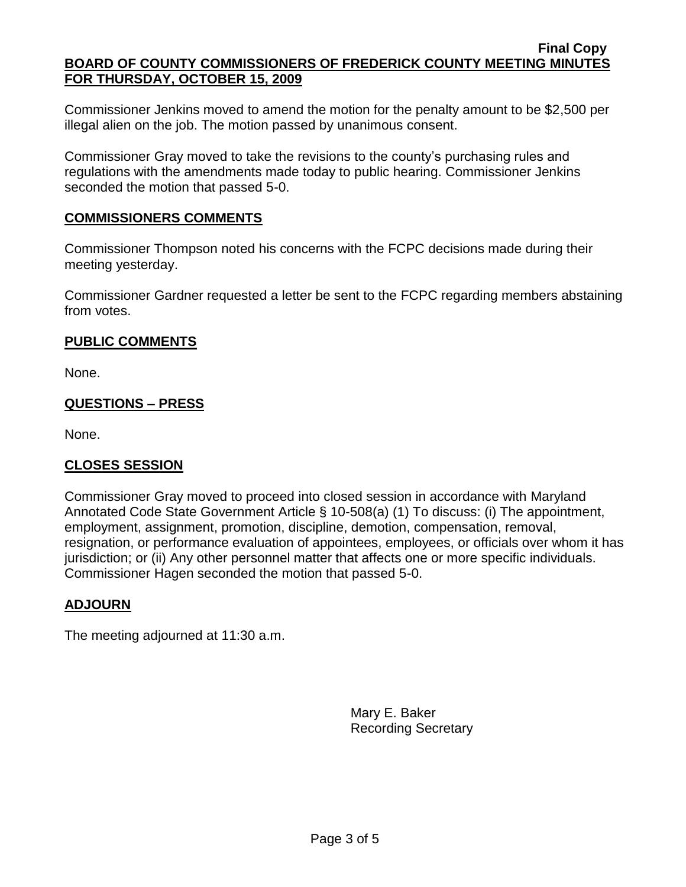Commissioner Jenkins moved to amend the motion for the penalty amount to be \$2,500 per illegal alien on the job. The motion passed by unanimous consent.

Commissioner Gray moved to take the revisions to the county's purchasing rules and regulations with the amendments made today to public hearing. Commissioner Jenkins seconded the motion that passed 5-0.

#### **COMMISSIONERS COMMENTS**

Commissioner Thompson noted his concerns with the FCPC decisions made during their meeting yesterday.

Commissioner Gardner requested a letter be sent to the FCPC regarding members abstaining from votes.

## **PUBLIC COMMENTS**

None.

## **QUESTIONS – PRESS**

None.

## **CLOSES SESSION**

Commissioner Gray moved to proceed into closed session in accordance with Maryland Annotated Code State Government Article § 10-508(a) (1) To discuss: (i) The appointment, employment, assignment, promotion, discipline, demotion, compensation, removal, resignation, or performance evaluation of appointees, employees, or officials over whom it has jurisdiction; or (ii) Any other personnel matter that affects one or more specific individuals. Commissioner Hagen seconded the motion that passed 5-0.

## **ADJOURN**

The meeting adjourned at 11:30 a.m.

Mary E. Baker Recording Secretary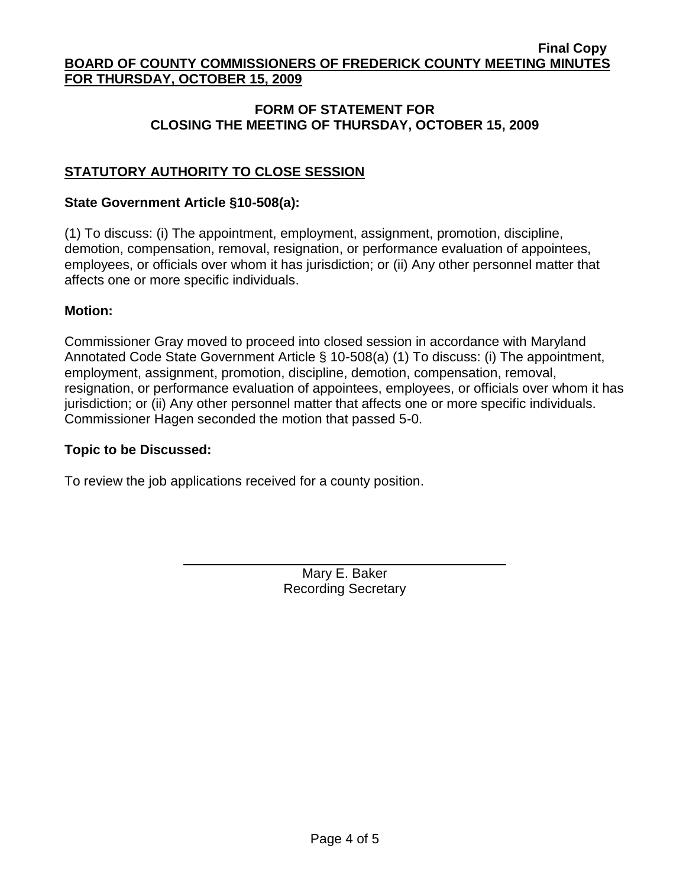#### **Final Copy BOARD OF COUNTY COMMISSIONERS OF FREDERICK COUNTY MEETING MINUTES FOR THURSDAY, OCTOBER 15, 2009**

# **FORM OF STATEMENT FOR CLOSING THE MEETING OF THURSDAY, OCTOBER 15, 2009**

# **STATUTORY AUTHORITY TO CLOSE SESSION**

#### **State Government Article §10-508(a):**

(1) To discuss: (i) The appointment, employment, assignment, promotion, discipline, demotion, compensation, removal, resignation, or performance evaluation of appointees, employees, or officials over whom it has jurisdiction; or (ii) Any other personnel matter that affects one or more specific individuals.

#### **Motion:**

Commissioner Gray moved to proceed into closed session in accordance with Maryland Annotated Code State Government Article § 10-508(a) (1) To discuss: (i) The appointment, employment, assignment, promotion, discipline, demotion, compensation, removal, resignation, or performance evaluation of appointees, employees, or officials over whom it has jurisdiction; or (ii) Any other personnel matter that affects one or more specific individuals. Commissioner Hagen seconded the motion that passed 5-0.

#### **Topic to be Discussed:**

To review the job applications received for a county position.

Mary E. Baker Recording Secretary